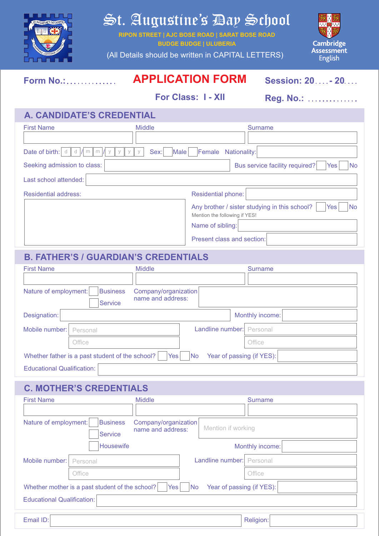

# St. Augustine's Day School

**RIPON STREET | AJC BOSE ROAD | SARAT BOSE ROAD BUDGE BUDGE | ULUBERIA**

(All Details should be written in CAPITAL LETTERS)



# **Form No.: APPLICATION FORM Session: 20 - 20**

**For Class: 1 - XII Reg. No.:** ..............

#### **A. CANDIDATE'S CREDENTIAL**

| <b>First Name</b>                                                       | <b>Middle</b>             | <b>Surname</b>                                                         |  |  |  |  |
|-------------------------------------------------------------------------|---------------------------|------------------------------------------------------------------------|--|--|--|--|
|                                                                         |                           |                                                                        |  |  |  |  |
| Date of birth:<br>Male<br>Sex:<br>Female<br>Nationality:<br>m<br>d<br>m |                           |                                                                        |  |  |  |  |
| Seeking admission to class:                                             |                           | Bus service facility required?<br><b>No</b><br>Yes                     |  |  |  |  |
| Last school attended:                                                   |                           |                                                                        |  |  |  |  |
| <b>Residential address:</b>                                             | <b>Residential phone:</b> |                                                                        |  |  |  |  |
|                                                                         |                           | Any brother / sister studying in this school?<br>Yes<br>N <sub>o</sub> |  |  |  |  |
| Mention the following if YES!                                           |                           |                                                                        |  |  |  |  |
|                                                                         |                           | Name of sibling:                                                       |  |  |  |  |
|                                                                         |                           | Present class and section:                                             |  |  |  |  |

#### **B. FATHER'S / GUARDIAN'S CREDENTIALS**

| <b>First Name</b>                                                                                      | <b>Middle</b>        |                           | Surname |  |  |  |
|--------------------------------------------------------------------------------------------------------|----------------------|---------------------------|---------|--|--|--|
|                                                                                                        |                      |                           |         |  |  |  |
| <b>Business</b><br>Nature of employment:                                                               | Company/organization |                           |         |  |  |  |
| <b>Service</b>                                                                                         | name and address:    |                           |         |  |  |  |
| Designation:<br>Monthly income:                                                                        |                      |                           |         |  |  |  |
| Mobile number:<br>Personal                                                                             |                      | Landline number: Personal |         |  |  |  |
| Office                                                                                                 |                      |                           | Office  |  |  |  |
| Year of passing (if YES):<br>Whether father is a past student of the school?<br>Yes <sub>l</sub><br>No |                      |                           |         |  |  |  |
| <b>Educational Qualification:</b>                                                                      |                      |                           |         |  |  |  |

## **C. MOTHER'S CREDENTIALS**

| <b>First Name</b>                                                                                | <b>Middle</b>                             |                           | <b>Surname</b>  |  |  |
|--------------------------------------------------------------------------------------------------|-------------------------------------------|---------------------------|-----------------|--|--|
| Nature of employment:<br><b>Business</b><br><b>Service</b>                                       | Company/organization<br>name and address: | Mention if working        |                 |  |  |
| Housewife                                                                                        |                                           |                           | Monthly income: |  |  |
| Mobile number:<br>Personal                                                                       |                                           | Landline number: Personal |                 |  |  |
| Office                                                                                           |                                           |                           | Office          |  |  |
| Year of passing (if YES):<br>Whether mother is a past student of the school?<br><b>No</b><br>Yes |                                           |                           |                 |  |  |
| Educational Qualification:                                                                       |                                           |                           |                 |  |  |

Email ID: **Religion:** Religion: **Religion: Product International Product International Religion:**